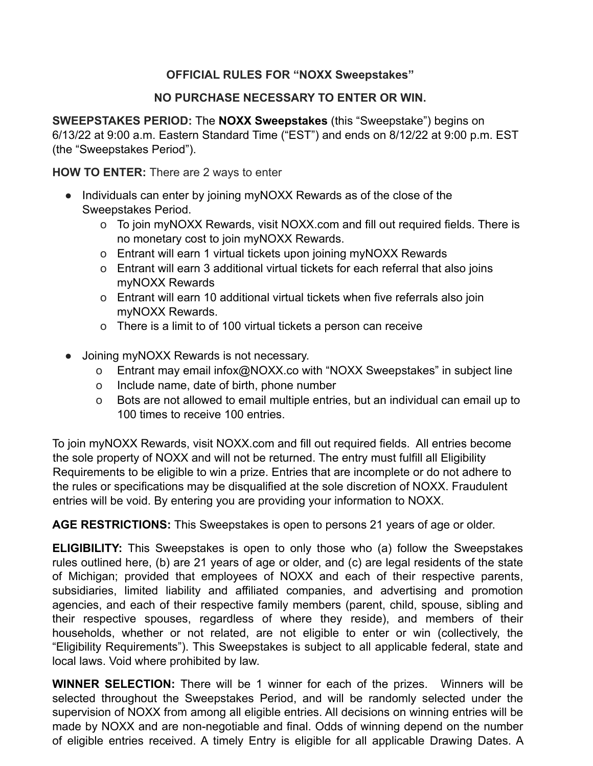## **OFFICIAL RULES FOR "NOXX Sweepstakes"**

## **NO PURCHASE NECESSARY TO ENTER OR WIN.**

**SWEEPSTAKES PERIOD:** The **NOXX Sweepstakes** (this "Sweepstake") begins on 6/13/22 at 9:00 a.m. Eastern Standard Time ("EST") and ends on 8/12/22 at 9:00 p.m. EST (the "Sweepstakes Period").

**HOW TO ENTER:** There are 2 ways to enter

- Individuals can enter by joining myNOXX Rewards as of the close of the Sweepstakes Period.
	- o To join myNOXX Rewards, visit NOXX.com and fill out required fields. There is no monetary cost to join myNOXX Rewards.
	- o Entrant will earn 1 virtual tickets upon joining myNOXX Rewards
	- o Entrant will earn 3 additional virtual tickets for each referral that also joins myNOXX Rewards
	- o Entrant will earn 10 additional virtual tickets when five referrals also join myNOXX Rewards.
	- o There is a limit to of 100 virtual tickets a person can receive
- Joining myNOXX Rewards is not necessary.
	- o Entrant may email infox@NOXX.co with "NOXX Sweepstakes" in subject line
	- o Include name, date of birth, phone number
	- o Bots are not allowed to email multiple entries, but an individual can email up to 100 times to receive 100 entries.

To join myNOXX Rewards, visit NOXX.com and fill out required fields. All entries become the sole property of NOXX and will not be returned. The entry must fulfill all Eligibility Requirements to be eligible to win a prize. Entries that are incomplete or do not adhere to the rules or specifications may be disqualified at the sole discretion of NOXX. Fraudulent entries will be void. By entering you are providing your information to NOXX.

**AGE RESTRICTIONS:** This Sweepstakes is open to persons 21 years of age or older.

**ELIGIBILITY:** This Sweepstakes is open to only those who (a) follow the Sweepstakes rules outlined here, (b) are 21 years of age or older, and (c) are legal residents of the state of Michigan; provided that employees of NOXX and each of their respective parents, subsidiaries, limited liability and affiliated companies, and advertising and promotion agencies, and each of their respective family members (parent, child, spouse, sibling and their respective spouses, regardless of where they reside), and members of their households, whether or not related, are not eligible to enter or win (collectively, the "Eligibility Requirements"). This Sweepstakes is subject to all applicable federal, state and local laws. Void where prohibited by law.

**WINNER SELECTION:** There will be 1 winner for each of the prizes. Winners will be selected throughout the Sweepstakes Period, and will be randomly selected under the supervision of NOXX from among all eligible entries. All decisions on winning entries will be made by NOXX and are non-negotiable and final. Odds of winning depend on the number of eligible entries received. A timely Entry is eligible for all applicable Drawing Dates. A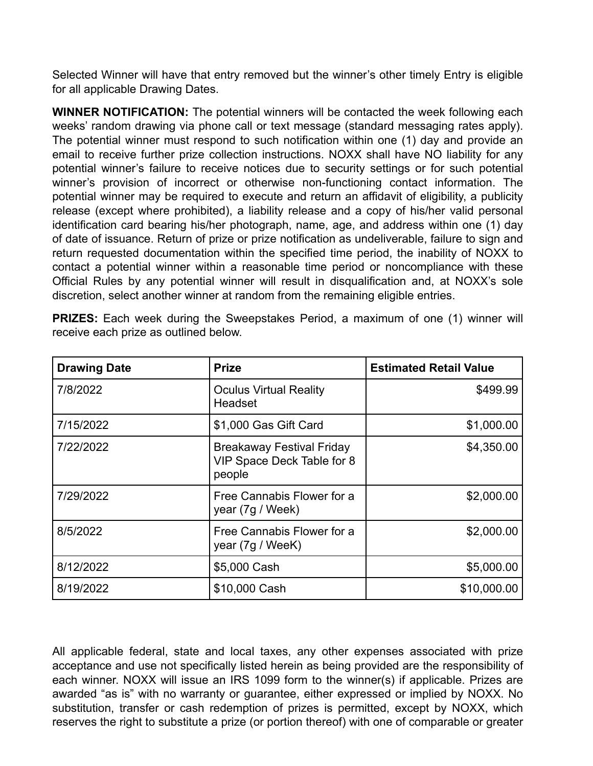Selected Winner will have that entry removed but the winner's other timely Entry is eligible for all applicable Drawing Dates.

**WINNER NOTIFICATION:** The potential winners will be contacted the week following each weeks' random drawing via phone call or text message (standard messaging rates apply). The potential winner must respond to such notification within one (1) day and provide an email to receive further prize collection instructions. NOXX shall have NO liability for any potential winner's failure to receive notices due to security settings or for such potential winner's provision of incorrect or otherwise non-functioning contact information. The potential winner may be required to execute and return an affidavit of eligibility, a publicity release (except where prohibited), a liability release and a copy of his/her valid personal identification card bearing his/her photograph, name, age, and address within one (1) day of date of issuance. Return of prize or prize notification as undeliverable, failure to sign and return requested documentation within the specified time period, the inability of NOXX to contact a potential winner within a reasonable time period or noncompliance with these Official Rules by any potential winner will result in disqualification and, at NOXX's sole discretion, select another winner at random from the remaining eligible entries.

| <b>Drawing Date</b> | <b>Prize</b>                                                             | <b>Estimated Retail Value</b> |
|---------------------|--------------------------------------------------------------------------|-------------------------------|
| 7/8/2022            | <b>Oculus Virtual Reality</b><br>Headset                                 | \$499.99                      |
| 7/15/2022           | \$1,000 Gas Gift Card                                                    | \$1,000.00                    |
| 7/22/2022           | <b>Breakaway Festival Friday</b><br>VIP Space Deck Table for 8<br>people | \$4,350.00                    |
| 7/29/2022           | Free Cannabis Flower for a<br>year (7g / Week)                           | \$2,000.00                    |
| 8/5/2022            | Free Cannabis Flower for a<br>year (7g / WeeK)                           | \$2,000.00                    |
| 8/12/2022           | \$5,000 Cash                                                             | \$5,000.00                    |
| 8/19/2022           | \$10,000 Cash                                                            | \$10,000.00                   |

**PRIZES:** Each week during the Sweepstakes Period, a maximum of one (1) winner will receive each prize as outlined below.

All applicable federal, state and local taxes, any other expenses associated with prize acceptance and use not specifically listed herein as being provided are the responsibility of each winner. NOXX will issue an IRS 1099 form to the winner(s) if applicable. Prizes are awarded "as is" with no warranty or guarantee, either expressed or implied by NOXX. No substitution, transfer or cash redemption of prizes is permitted, except by NOXX, which reserves the right to substitute a prize (or portion thereof) with one of comparable or greater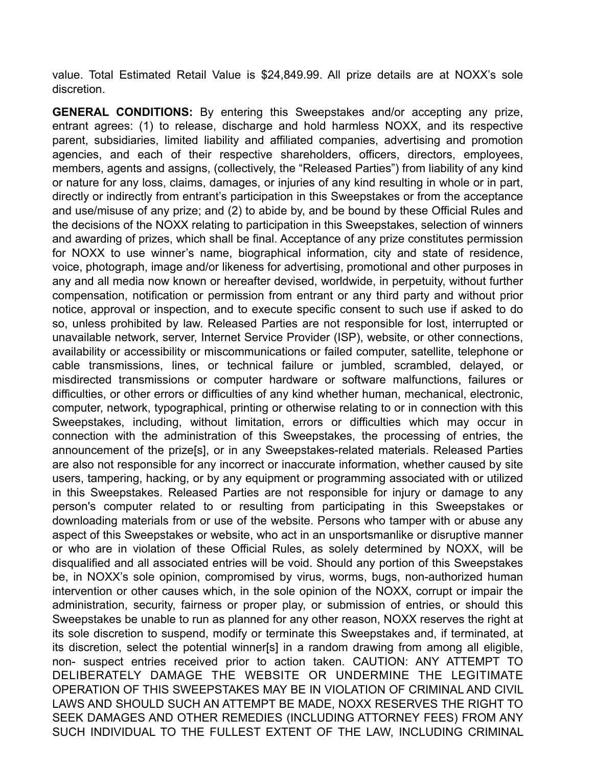value. Total Estimated Retail Value is \$24,849.99. All prize details are at NOXX's sole discretion.

**GENERAL CONDITIONS:** By entering this Sweepstakes and/or accepting any prize, entrant agrees: (1) to release, discharge and hold harmless NOXX, and its respective parent, subsidiaries, limited liability and affiliated companies, advertising and promotion agencies, and each of their respective shareholders, officers, directors, employees, members, agents and assigns, (collectively, the "Released Parties") from liability of any kind or nature for any loss, claims, damages, or injuries of any kind resulting in whole or in part, directly or indirectly from entrant's participation in this Sweepstakes or from the acceptance and use/misuse of any prize; and (2) to abide by, and be bound by these Official Rules and the decisions of the NOXX relating to participation in this Sweepstakes, selection of winners and awarding of prizes, which shall be final. Acceptance of any prize constitutes permission for NOXX to use winner's name, biographical information, city and state of residence, voice, photograph, image and/or likeness for advertising, promotional and other purposes in any and all media now known or hereafter devised, worldwide, in perpetuity, without further compensation, notification or permission from entrant or any third party and without prior notice, approval or inspection, and to execute specific consent to such use if asked to do so, unless prohibited by law. Released Parties are not responsible for lost, interrupted or unavailable network, server, Internet Service Provider (ISP), website, or other connections, availability or accessibility or miscommunications or failed computer, satellite, telephone or cable transmissions, lines, or technical failure or jumbled, scrambled, delayed, or misdirected transmissions or computer hardware or software malfunctions, failures or difficulties, or other errors or difficulties of any kind whether human, mechanical, electronic, computer, network, typographical, printing or otherwise relating to or in connection with this Sweepstakes, including, without limitation, errors or difficulties which may occur in connection with the administration of this Sweepstakes, the processing of entries, the announcement of the prize[s], or in any Sweepstakes-related materials. Released Parties are also not responsible for any incorrect or inaccurate information, whether caused by site users, tampering, hacking, or by any equipment or programming associated with or utilized in this Sweepstakes. Released Parties are not responsible for injury or damage to any person's computer related to or resulting from participating in this Sweepstakes or downloading materials from or use of the website. Persons who tamper with or abuse any aspect of this Sweepstakes or website, who act in an unsportsmanlike or disruptive manner or who are in violation of these Official Rules, as solely determined by NOXX, will be disqualified and all associated entries will be void. Should any portion of this Sweepstakes be, in NOXX's sole opinion, compromised by virus, worms, bugs, non-authorized human intervention or other causes which, in the sole opinion of the NOXX, corrupt or impair the administration, security, fairness or proper play, or submission of entries, or should this Sweepstakes be unable to run as planned for any other reason, NOXX reserves the right at its sole discretion to suspend, modify or terminate this Sweepstakes and, if terminated, at its discretion, select the potential winner[s] in a random drawing from among all eligible, non- suspect entries received prior to action taken. CAUTION: ANY ATTEMPT TO DELIBERATELY DAMAGE THE WEBSITE OR UNDERMINE THE LEGITIMATE OPERATION OF THIS SWEEPSTAKES MAY BE IN VIOLATION OF CRIMINAL AND CIVIL LAWS AND SHOULD SUCH AN ATTEMPT BE MADE, NOXX RESERVES THE RIGHT TO SEEK DAMAGES AND OTHER REMEDIES (INCLUDING ATTORNEY FEES) FROM ANY SUCH INDIVIDUAL TO THE FULLEST EXTENT OF THE LAW, INCLUDING CRIMINAL